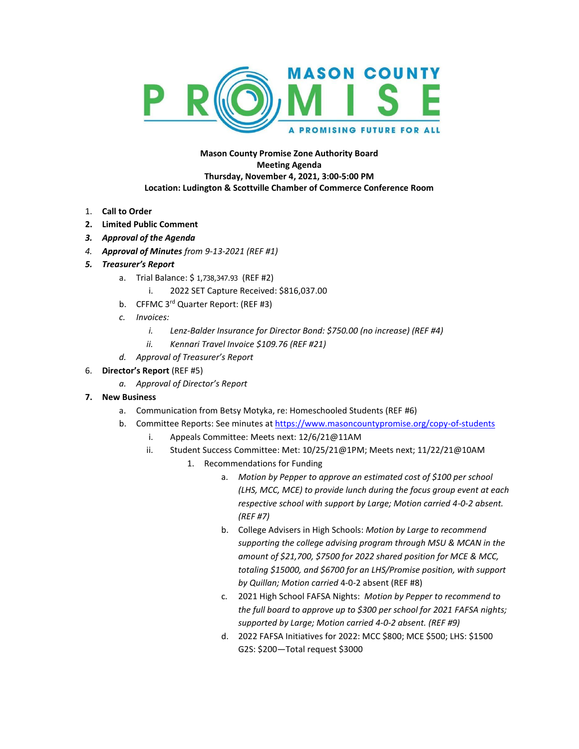

**Mason County Promise Zone Authority Board Meeting Agenda Thursday, November 4, 2021, 3:00-5:00 PM Location: Ludington & Scottville Chamber of Commerce Conference Room**

- 1. **Call to Order**
- **2. Limited Public Comment**
- *3. Approval of the Agenda*
- *4. Approval of Minutes from 9-13-2021 (REF #1)*
- *5. Treasurer's Report*
	- a. Trial Balance: \$ 1,738,347.93 (REF #2)
		- i. 2022 SET Capture Received: \$816,037.00
	- b. CFFMC 3<sup>rd</sup> Quarter Report: (REF #3)
	- *c. Invoices:*
		- *i. Lenz-Balder Insurance for Director Bond: \$750.00 (no increase) (REF #4)*
		- *ii. Kennari Travel Invoice \$109.76 (REF #21)*
	- *d. Approval of Treasurer's Report*

## 6. **Director's Report** (REF #5)

*a. Approval of Director's Report*

## **7. New Business**

- a. Communication from Betsy Motyka, re: Homeschooled Students (REF #6)
- b. Committee Reports: See minutes at <https://www.masoncountypromise.org/copy-of-students>
	- i. Appeals Committee: Meets next: 12/6/21@11AM
	- ii. Student Success Committee: Met: 10/25/21@1PM; Meets next; 11/22/21@10AM
		- 1. Recommendations for Funding
			- a. *Motion by Pepper to approve an estimated cost of \$100 per school (LHS, MCC, MCE) to provide lunch during the focus group event at each respective school with support by Large; Motion carried 4-0-2 absent. (REF #7)*
			- b. College Advisers in High Schools: *Motion by Large to recommend supporting the college advising program through MSU & MCAN in the amount of \$21,700, \$7500 for 2022 shared position for MCE & MCC, totaling \$15000, and \$6700 for an LHS/Promise position, with support by Quillan; Motion carried* 4-0-2 absent (REF #8)
			- c. 2021 High School FAFSA Nights: *Motion by Pepper to recommend to the full board to approve up to \$300 per school for 2021 FAFSA nights; supported by Large; Motion carried 4-0-2 absent. (REF #9)*
			- d. 2022 FAFSA Initiatives for 2022: MCC \$800; MCE \$500; LHS: \$1500 G2S: \$200—Total request \$3000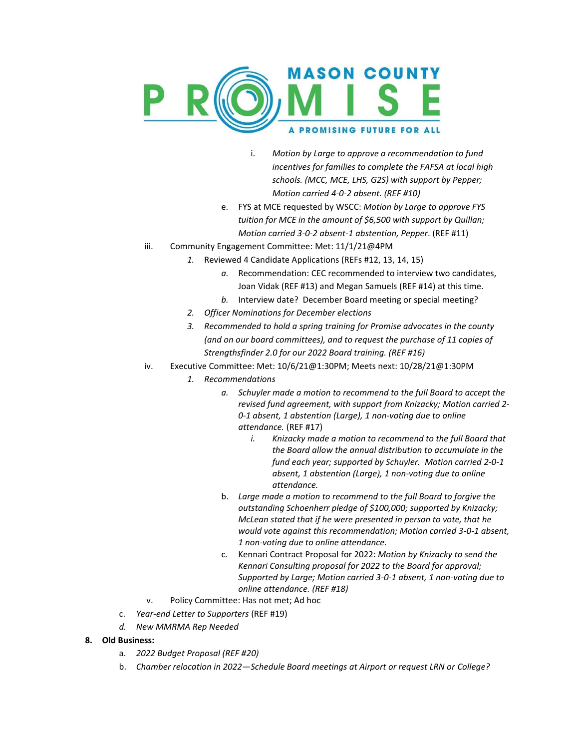

- i. *Motion by Large to approve a recommendation to fund incentives for families to complete the FAFSA at local high schools. (MCC, MCE, LHS, G2S) with support by Pepper; Motion carried 4-0-2 absent. (REF #10)*
- e. FYS at MCE requested by WSCC: *Motion by Large to approve FYS tuition for MCE in the amount of \$6,500 with support by Quillan; Motion carried 3-0-2 absent-1 abstention, Pepper*. (REF #11)
- iii. Community Engagement Committee: Met: 11/1/21@4PM
	- *1.* Reviewed 4 Candidate Applications (REFs #12, 13, 14, 15)
		- *a.* Recommendation: CEC recommended to interview two candidates, Joan Vidak (REF #13) and Megan Samuels (REF #14) at this time.
		- *b.* Interview date? December Board meeting or special meeting?
	- *2. Officer Nominations for December elections*
	- *3. Recommended to hold a spring training for Promise advocates in the county (and on our board committees), and to request the purchase of 11 copies of Strengthsfinder 2.0 for our 2022 Board training. (REF #16)*
- iv. Executive Committee: Met: 10/6/21@1:30PM; Meets next: 10/28/21@1:30PM
	- *1. Recommendations*
		- *a. Schuyler made a motion to recommend to the full Board to accept the revised fund agreement, with support from Knizacky; Motion carried 2- 0-1 absent, 1 abstention (Large), 1 non-voting due to online attendance.* (REF #17)
			- *i. Knizacky made a motion to recommend to the full Board that the Board allow the annual distribution to accumulate in the fund each year; supported by Schuyler. Motion carried 2-0-1 absent, 1 abstention (Large), 1 non-voting due to online attendance.*
		- b. *Large made a motion to recommend to the full Board to forgive the outstanding Schoenherr pledge of \$100,000; supported by Knizacky; McLean stated that if he were presented in person to vote, that he would vote against this recommendation; Motion carried 3-0-1 absent, 1 non-voting due to online attendance.*
		- c. Kennari Contract Proposal for 2022: *Motion by Knizacky to send the Kennari Consulting proposal for 2022 to the Board for approval; Supported by Large; Motion carried 3-0-1 absent, 1 non-voting due to online attendance. (REF #18)*
- v. Policy Committee: Has not met; Ad hoc
- c. *Year-end Letter to Supporters* (REF #19)
- *d. New MMRMA Rep Needed*
- **8. Old Business:**
	- a. *2022 Budget Proposal (REF #20)*
	- b. *Chamber relocation in 2022—Schedule Board meetings at Airport or request LRN or College?*